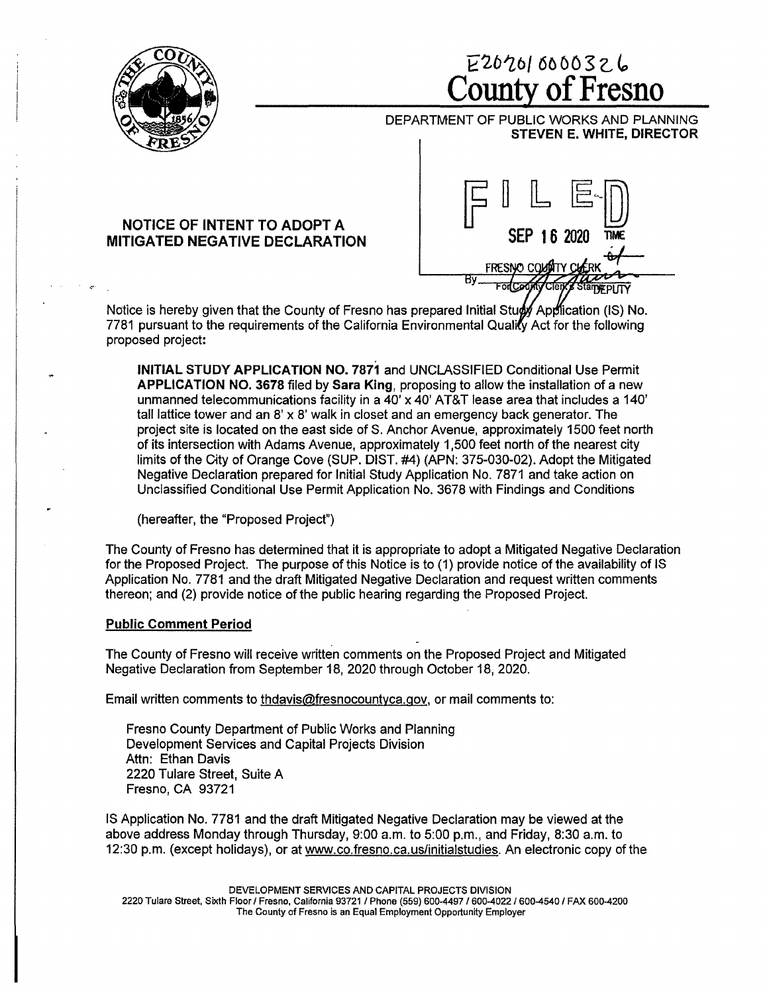

# E2b'Z6/ 60 DO 3 z, *l,*  **County of Fresno**

DEPARTMENT OF PUBLIC WORKS AND PLANNING **STEVEN E. WHITE, DIRECTOR** 

## **NOTICE OF INTENT TO ADOPT A MITIGATED NEGATIVE DECLARATION**



Notice is hereby given that the County of Fresno has prepared Initial Study Application (IS) No. 7781 pursuant to the requirements of the California Environmental Quality Act for the following proposed project:

**INITIAL STUDY APPLICATION NO. 7871** and UNCLASSIFIED Conditional Use Permit **APPLICATION NO. 3678** filed by **Sara King,** proposing to allow the installation of a new unmanned telecommunications facility in a  $40' \times 40'$  AT&T lease area that includes a 140' tall lattice tower and an  $8' \times 8'$  walk in closet and an emergency back generator. The project site is located on the east side of S. Anchor Avenue, approximately 1500 feet north of its intersection with Adams Avenue, approximately 1,500 feet north of the nearest city limits of the City of Orange Cove (SUP. DIST. #4) (APN: 375-030-02). Adopt the Mitigated Negative Declaration prepared for Initial Study Application No. 7871 and take action on Unclassified Conditional Use Permit Application No. 3678 with Findings and Conditions

(hereafter, the "Proposed Project")

The County of Fresno has determined that it is appropriate to adopt a Mitigated Negative Declaration for the Proposed Project. The purpose of this Notice is to (1) provide notice of the availability of IS Application No. 7781 and the draft Mitigated Negative Declaration and request written comments thereon; and (2) provide notice of the public hearing regarding the Proposed Project.

### **Public Comment Period**

The County of Fresno will receive written comments on the Proposed Project and Mitigated Negative Declaration from September 18, 2020 through October 18, 2020.

Email written comments to thdavis@fresnocountyca.gov, or mail comments to:

Fresno County Department of Public Works and Planning Development Services and Capital Projects Division Attn: Ethan Davis 2220 Tulare Street, Suite A Fresno, CA 93721

IS Application No. 7781 and the draft Mitigated Negative Declaration may be viewed at the above address Monday through Thursday, 9:00 a.m. to 5:00 p.m., and Friday, 8:30 a.m. to 12:30 p.m. (except holidays), or at www.co.fresno.ca.us/initialstudies. An electronic copy of the

DEVELOPMENT SERVICES AND CAPITAL PROJECTS DIVISION

2220 Tulare Street, Sixth Floor/ Fresno, California 93721 / Phone (559) 600-4497 / 600-4022 / 600-4540 / FAX 600-4200 The County of Fresno is an Equal Employment Opportunity Employer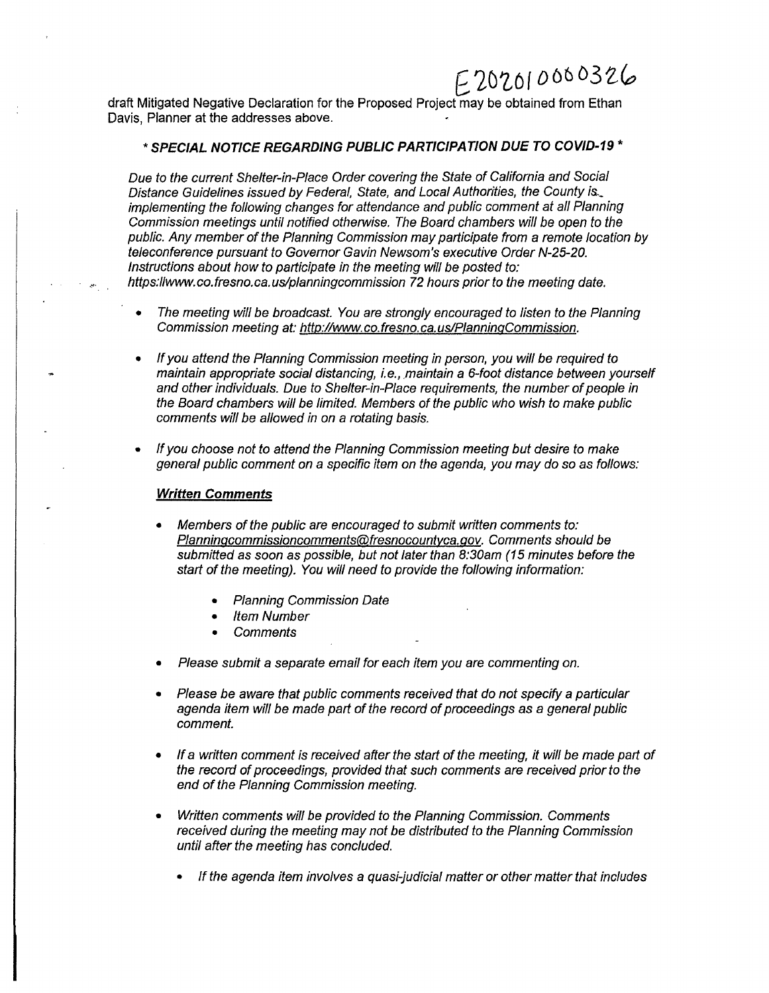# $E202010000326$

draft Mitigated Negative Declaration for the Proposed Project may be obtained from Ethan Davis, Planner at the addresses above.

# \* **SPECIAL NOTICE REGARDING PUBLIC PARTICIPATION DUE TO COVID-19** \*

Due to the current Shelter-in-Place Order covering the State of California and Social Distance Guidelines issued by Federal, State, and Local Authorities, the County is.\_ implementing the following changes for attendance and public comment at all Planning Commission meetings until notified otherwise. The Board chambers will be open to the public. Any member of the Planning Commission may participate from a remote location by teleconference pursuant to Governor Gavin Newsom's executive Order N-25-20. Instructions about how to participate in the meeting will be posted to: https://www.co.fresno.ca.us/planningcommission 72 hours prior to the meeting date.

- The meeting will be broadcast. You are strongly encouraged to listen to the Planning Commission meeting at: http://www. co.fresno. ca. us/PlanninqCommission.
- If you attend the Planning Commission meeting in person, you will be required to maintain appropriate social distancing, i.e., maintain a 6-foot distance between yourself and other individuals. Due to Shelter-in-Place requirements, the number of people in the Board chambers will be limited. Members of the public who wish to make public comments will be allowed in on a rotating basis.
- If you choose not to attend the Planning Commission meeting but desire to make general public comment on a specific item on the agenda, you may do so as follows:

### **Written Comments**

- Members of the public are encouraged to submit written comments to: Planninqcommissioncomments@fresnocountyca.gov. Comments should be submitted as soon as possible, but not later than 8:30am (15 minutes before the start of the meeting). You will need to provide the following information:
	- Planning Commission Date
	- Item Number
	- **Comments**
- Please submit a separate email for each item you are commenting on.
- Please be aware that public comments received that do not specify a particular agenda item will be made part of the record of proceedings as a general public comment.
- If a written comment is received after the start of the meeting, it will be made part of the record of proceedings, provided that such comments are received prior to the end of the Planning Commission meeting.
- Written comments will be provided *to* the Planning Commission. Comments received during the meeting may not be distributed *to* the Planning Commission until after the meeting has concluded.
	- *If* the agenda item involves a quasi-judicial matter or other matter that includes